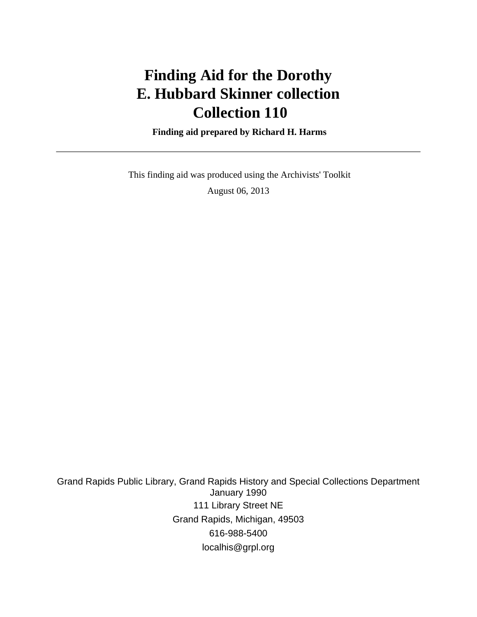# **Finding Aid for the Dorothy E. Hubbard Skinner collection Collection 110**

 **Finding aid prepared by Richard H. Harms**

 This finding aid was produced using the Archivists' Toolkit August 06, 2013

Grand Rapids Public Library, Grand Rapids History and Special Collections Department January 1990 111 Library Street NE Grand Rapids, Michigan, 49503 616-988-5400 localhis@grpl.org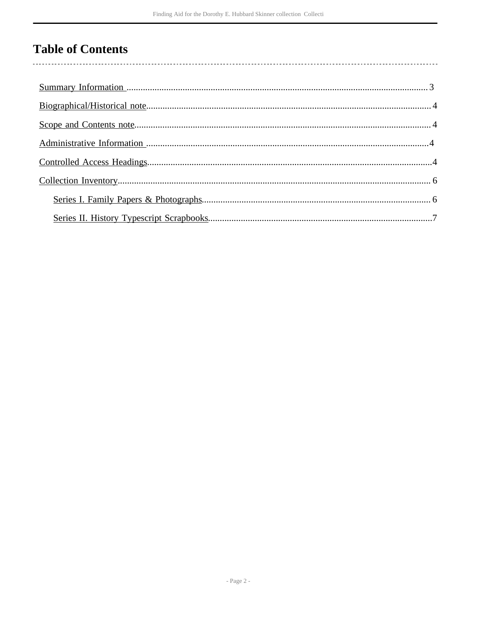# **Table of Contents**

 $\overline{\phantom{a}}$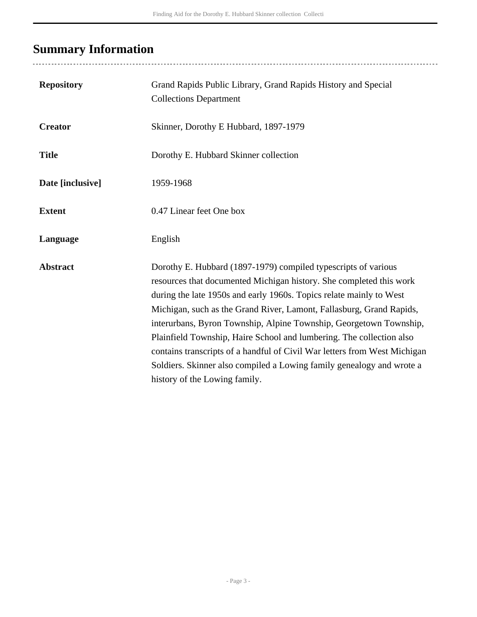# <span id="page-2-0"></span>**Summary Information**

| <b>Repository</b> | Grand Rapids Public Library, Grand Rapids History and Special<br><b>Collections Department</b>                                                                                                                                                                                                                                                                                                                                                                                                                                                                                                                            |
|-------------------|---------------------------------------------------------------------------------------------------------------------------------------------------------------------------------------------------------------------------------------------------------------------------------------------------------------------------------------------------------------------------------------------------------------------------------------------------------------------------------------------------------------------------------------------------------------------------------------------------------------------------|
| <b>Creator</b>    | Skinner, Dorothy E Hubbard, 1897-1979                                                                                                                                                                                                                                                                                                                                                                                                                                                                                                                                                                                     |
| <b>Title</b>      | Dorothy E. Hubbard Skinner collection                                                                                                                                                                                                                                                                                                                                                                                                                                                                                                                                                                                     |
| Date [inclusive]  | 1959-1968                                                                                                                                                                                                                                                                                                                                                                                                                                                                                                                                                                                                                 |
| <b>Extent</b>     | 0.47 Linear feet One box                                                                                                                                                                                                                                                                                                                                                                                                                                                                                                                                                                                                  |
| Language          | English                                                                                                                                                                                                                                                                                                                                                                                                                                                                                                                                                                                                                   |
| <b>Abstract</b>   | Dorothy E. Hubbard (1897-1979) compiled typescripts of various<br>resources that documented Michigan history. She completed this work<br>during the late 1950s and early 1960s. Topics relate mainly to West<br>Michigan, such as the Grand River, Lamont, Fallasburg, Grand Rapids,<br>interurbans, Byron Township, Alpine Township, Georgetown Township,<br>Plainfield Township, Haire School and lumbering. The collection also<br>contains transcripts of a handful of Civil War letters from West Michigan<br>Soldiers. Skinner also compiled a Lowing family genealogy and wrote a<br>history of the Lowing family. |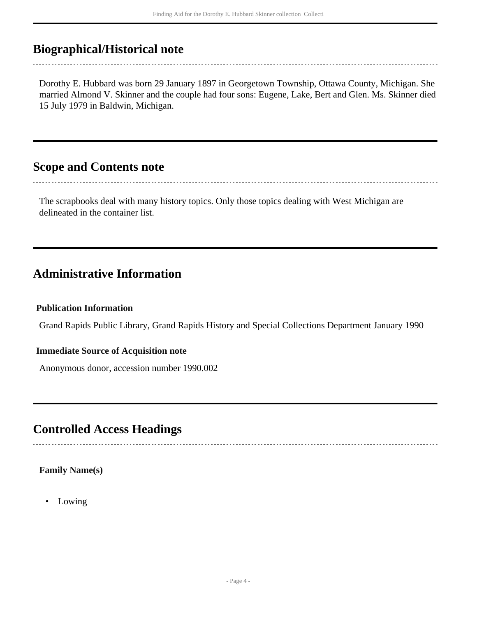# <span id="page-3-0"></span>**Biographical/Historical note**

Dorothy E. Hubbard was born 29 January 1897 in Georgetown Township, Ottawa County, Michigan. She married Almond V. Skinner and the couple had four sons: Eugene, Lake, Bert and Glen. Ms. Skinner died 15 July 1979 in Baldwin, Michigan.

## <span id="page-3-1"></span>**Scope and Contents note**

The scrapbooks deal with many history topics. Only those topics dealing with West Michigan are delineated in the container list.

# <span id="page-3-2"></span>**Administrative Information**

#### **Publication Information**

Grand Rapids Public Library, Grand Rapids History and Special Collections Department January 1990

#### **Immediate Source of Acquisition note**

Anonymous donor, accession number 1990.002

## <span id="page-3-3"></span>**Controlled Access Headings**

#### **Family Name(s)**

• Lowing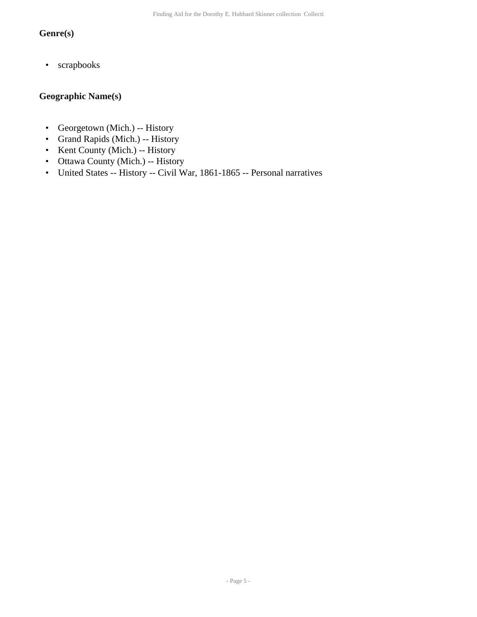### **Genre(s)**

• scrapbooks

## **Geographic Name(s)**

- Georgetown (Mich.) -- History
- Grand Rapids (Mich.) -- History
- Kent County (Mich.) -- History
- Ottawa County (Mich.) -- History
- United States -- History -- Civil War, 1861-1865 -- Personal narratives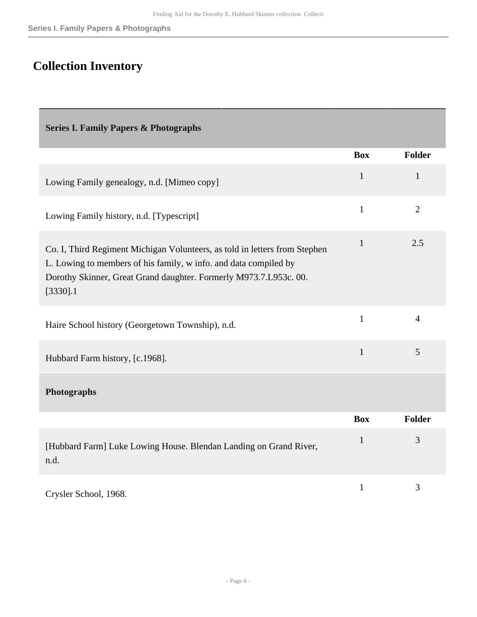# <span id="page-5-0"></span>**Collection Inventory**

<span id="page-5-1"></span>

| <b>Series I. Family Papers &amp; Photographs</b>                                                                                                                                                                                   |              |                |
|------------------------------------------------------------------------------------------------------------------------------------------------------------------------------------------------------------------------------------|--------------|----------------|
|                                                                                                                                                                                                                                    | <b>Box</b>   | <b>Folder</b>  |
| Lowing Family genealogy, n.d. [Mimeo copy]                                                                                                                                                                                         | $\mathbf{1}$ | $\mathbf{1}$   |
| Lowing Family history, n.d. [Typescript]                                                                                                                                                                                           | $\mathbf{1}$ | $\overline{2}$ |
| Co. I, Third Regiment Michigan Volunteers, as told in letters from Stephen<br>L. Lowing to members of his family, w info. and data compiled by<br>Dorothy Skinner, Great Grand daughter. Formerly M973.7.L953c. 00.<br>$[3330]$ .1 | $\mathbf{1}$ | 2.5            |
| Haire School history (Georgetown Township), n.d.                                                                                                                                                                                   | $\mathbf{1}$ | $\overline{4}$ |
| Hubbard Farm history, [c.1968].                                                                                                                                                                                                    | $\mathbf{1}$ | 5              |
| Photographs                                                                                                                                                                                                                        |              |                |
|                                                                                                                                                                                                                                    | <b>Box</b>   | Folder         |
| [Hubbard Farm] Luke Lowing House. Blendan Landing on Grand River,<br>n.d.                                                                                                                                                          | $\mathbf{1}$ | 3              |
| Crysler School, 1968.                                                                                                                                                                                                              | $\mathbf{1}$ | 3              |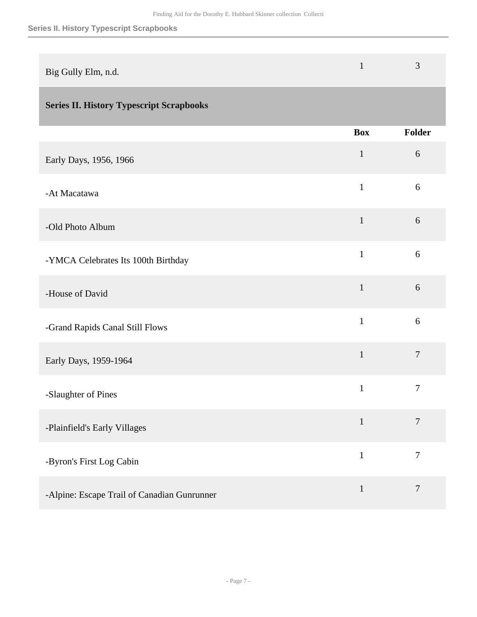### **Series II. History Typescript Scrapbooks**

| Big Gully Elm, n.d. |  | $\rightarrow$ |
|---------------------|--|---------------|
|---------------------|--|---------------|

## <span id="page-6-0"></span>**Series II. History Typescript Scrapbooks**

|                                             | <b>Box</b>   | Folder         |
|---------------------------------------------|--------------|----------------|
| Early Days, 1956, 1966                      | $\mathbf{1}$ | $6\,$          |
| -At Macatawa                                | $\mathbf{1}$ | 6              |
| -Old Photo Album                            | $\mathbf{1}$ | 6              |
| -YMCA Celebrates Its 100th Birthday         | $\mathbf{1}$ | 6              |
| -House of David                             | $\mathbf{1}$ | 6              |
| -Grand Rapids Canal Still Flows             | $\mathbf{1}$ | 6              |
| Early Days, 1959-1964                       | $\mathbf{1}$ | $\overline{7}$ |
| -Slaughter of Pines                         | $\mathbf{1}$ | $\overline{7}$ |
| -Plainfield's Early Villages                | $\mathbf{1}$ | $\overline{7}$ |
| -Byron's First Log Cabin                    | $\mathbf{1}$ | $\overline{7}$ |
| -Alpine: Escape Trail of Canadian Gunrunner | $\mathbf 1$  | $\overline{7}$ |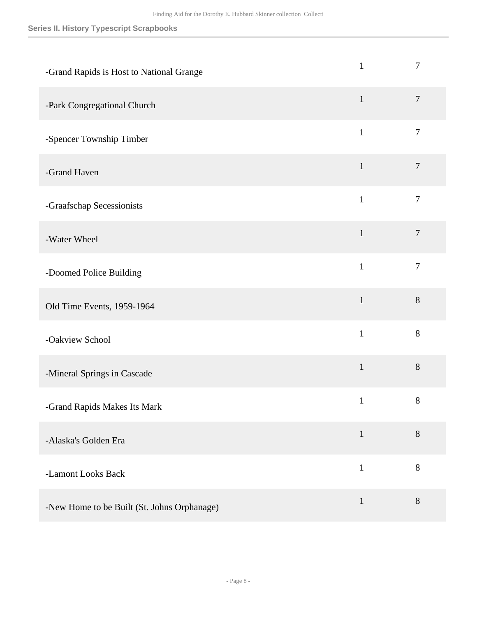### **Series II. History Typescript Scrapbooks**

| -Grand Rapids is Host to National Grange    | $\mathbf{1}$ | $\overline{7}$ |
|---------------------------------------------|--------------|----------------|
| -Park Congregational Church                 | $\mathbf{1}$ | $\overline{7}$ |
| -Spencer Township Timber                    | $\mathbf{1}$ | $\overline{7}$ |
| -Grand Haven                                | $\mathbf{1}$ | $\tau$         |
| -Graafschap Secessionists                   | $\mathbf{1}$ | $\overline{7}$ |
| -Water Wheel                                | $\mathbf{1}$ | $\overline{7}$ |
| -Doomed Police Building                     | $\mathbf{1}$ | $\tau$         |
| Old Time Events, 1959-1964                  | $\mathbf{1}$ | $8\,$          |
| -Oakview School                             | $\mathbf{1}$ | 8              |
| -Mineral Springs in Cascade                 | $\mathbf{1}$ | 8              |
| -Grand Rapids Makes Its Mark                | $\mathbf{1}$ | 8              |
| -Alaska's Golden Era                        | $\mathbf{1}$ | 8              |
| -Lamont Looks Back                          | $\mathbf{1}$ | $\,8\,$        |
| -New Home to be Built (St. Johns Orphanage) | $\mathbf{1}$ | $8\,$          |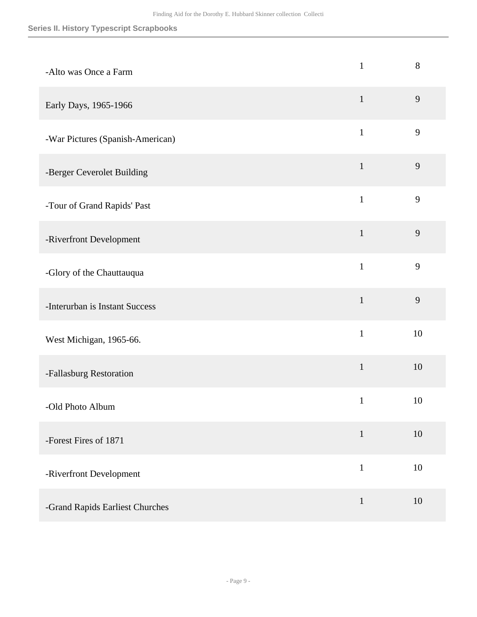### **Series II. History Typescript Scrapbooks**

| -Alto was Once a Farm            | $\mathbf{1}$ | 8              |
|----------------------------------|--------------|----------------|
| Early Days, 1965-1966            | $\mathbf{1}$ | $\overline{9}$ |
| -War Pictures (Spanish-American) | $\mathbf{1}$ | 9              |
| -Berger Ceverolet Building       | $\mathbf{1}$ | 9              |
| -Tour of Grand Rapids' Past      | $\mathbf{1}$ | 9              |
| -Riverfront Development          | $\mathbf{1}$ | 9              |
| -Glory of the Chauttauqua        | $\mathbf{1}$ | 9              |
| -Interurban is Instant Success   | $\mathbf{1}$ | $\overline{9}$ |
| West Michigan, 1965-66.          | $\mathbf{1}$ | 10             |
| -Fallasburg Restoration          | $\mathbf{1}$ | 10             |
| -Old Photo Album                 | $\mathbf{1}$ | 10             |
| -Forest Fires of 1871            | $\mathbf{1}$ | $10\,$         |
| -Riverfront Development          | $\mathbf{1}$ | 10             |
| -Grand Rapids Earliest Churches  | $\mathbf{1}$ | 10             |